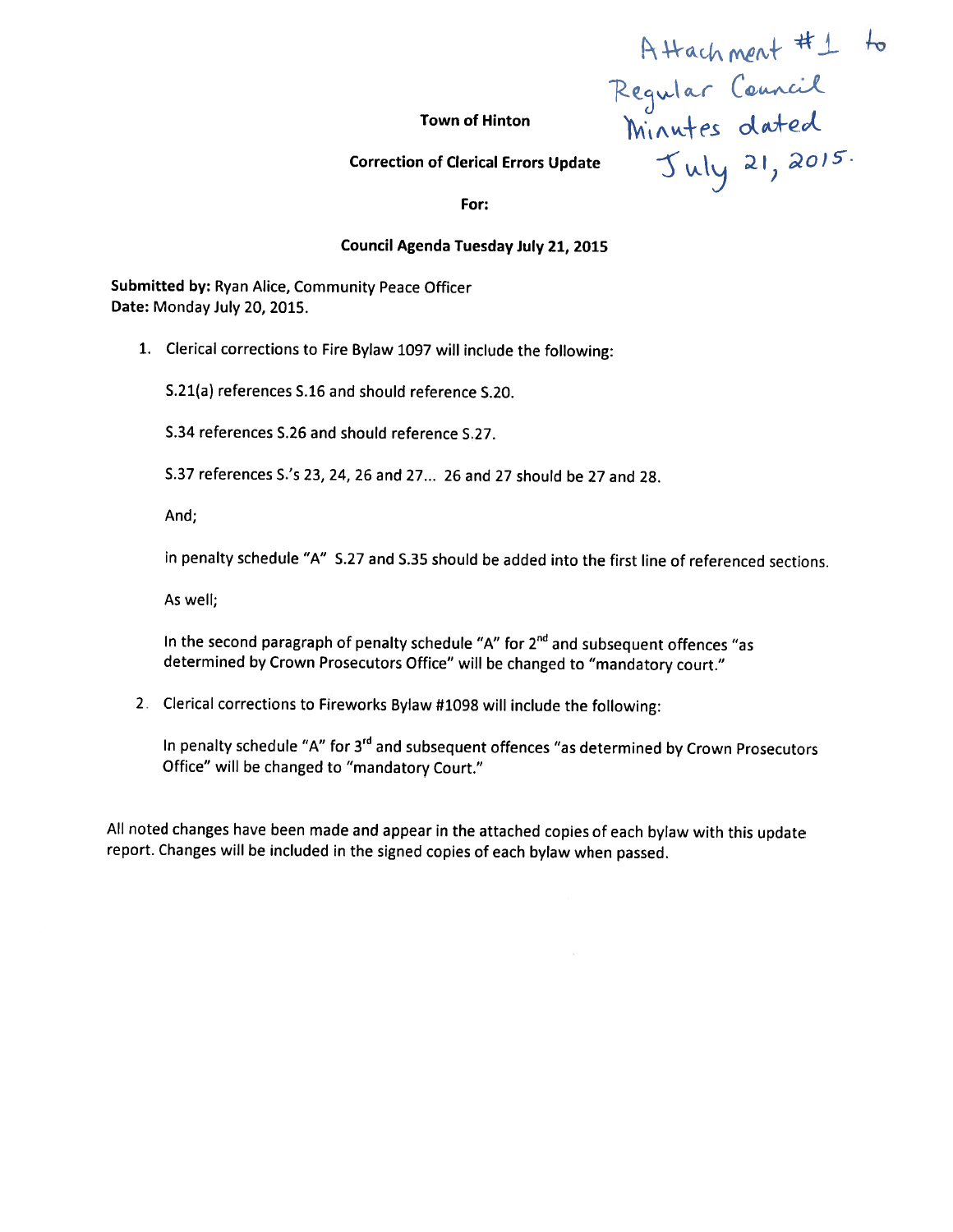A Hach ment  $#1$  $\alpha$ r Correction of Clerical Errors Update  $\mathcal{L}_{\mathcal{U}}$   $\mathcal{L}_{\mathcal{U}}$   $\mathcal{L}_{\mathcal{U}}$   $\mathcal{Z}$   $\mathcal{U}, \mathcal{Z}$   $\partial\mathcal{U}$ 

**Town of Hinton** 

For:

#### Council Agenda Tuesday iuly 21, 2015

Submitted by: Ryan Alice, Community Peace Officer Date: Monday July 20, 2015.

1. Clerical corrections to Fire Bylaw <sup>1097</sup> will include the following:

5.21(a) references 5.16 and should reference 5.20.

5.34 references 5.26 and should reference 5.27.

5.37 references S's 23, 24, 26 and 27... 26 and 27 should be 27 and 2\$.

And;

in penalty schedule "A" 5.27 and 5.35 should be added into the first line of referenced sections.

As well;

In the second paragraph of penalty schedule "A" for  $2^{nd}$  and subsequent offences "as determined by Crown Prosecutors Office" will be changed to "mandatory court."

2. Clerical corrections to Fireworks Bylaw #1098 will include the following:

In penalty schedule "A" for 3<sup>rd</sup> and subsequent offences "as determined by Crown Prosecutors Office" will be changed to "mandatory Court."

All noted changes have been made and appear in the attached copies of each bylaw with this update report. Changes will be included in the signed copies of each bylaw when passed.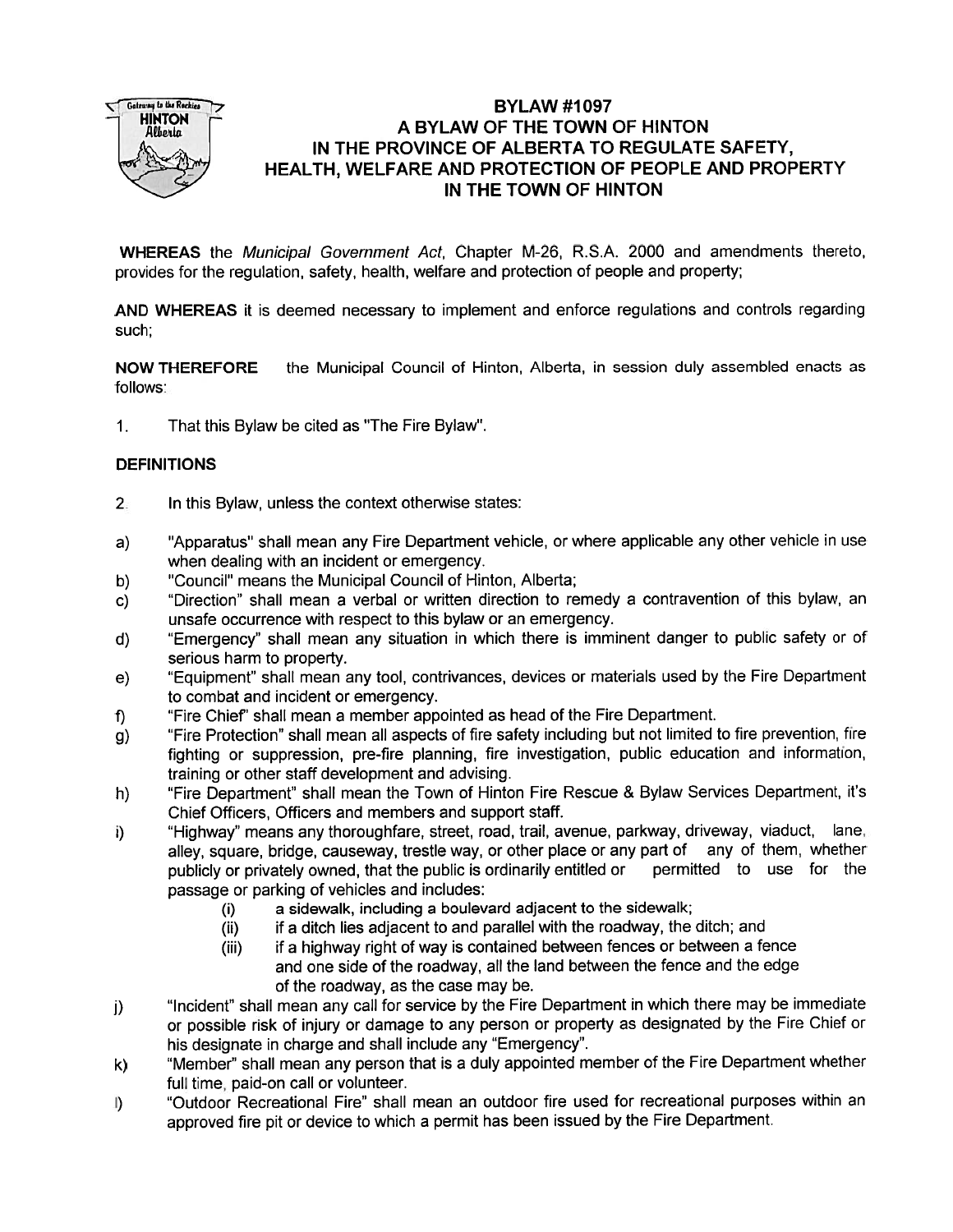

# BYLAW #1097  $\frac{1}{2}$  FUNTON  $\frac{1}{2}$  A BYLAW OF THE TOWN OF HINTON IN THE PROVINCE OF ALBERTA TO REGULATE SAFETY, HEALTH, WELFARE AND PROTECTION OF PEOPLE AND PROPERTY IN THE TOWN OF HINTON

WHEREAS the Municipal Government Act, Chapter M-26, R.S.A. 2000 and amendments thereto, provides for the regulation, safety, health, welfare and protection of people and property;

AND WHEREAS it is deemed necessary to implement and enforce regulations and controls regarding such:

NOW THEREFORE the Municipal Council of Hinton, Alberta, in session duly assembled enacts as follows:

1. That this Bylaw be cited as "The Fire Bylaw".

## **DEFINITIONS**

- 2. In this Bylaw, unless the context otherwise states:
- a) "Apparatus" shall mean any Fire Department vehicle, or where applicable any other vehicle in use when dealing with an incident or emergency.
- b) "Council" means the Municipal Council of Hinton, Alberta;
- c) "Direction" shall mean <sup>a</sup> verbal or written direction to remedy <sup>a</sup> contravention of this bylaw, an unsafe occurrence with respec<sup>t</sup> to this bylaw or an emergency.
- d) "Emergency" shall mean any situation in which there is imminent danger to public safety or of serious harm to property.
- e) "Equipment" shall mean any tool, contrivances, devices or materials used by the Fire Department to combat and incident or emergency.
- f) "Fire Chief' shall mean <sup>a</sup> member appointed as head of the Fire Department.
- g) "Fire Protection" shall mean all aspects of fire safety including but not limited to fire prevention, fire fighting or suppression, pre-fire <sup>p</sup>lanning, fire investigation, public education and information, training or other staff development and advising.
- h) "Fire Department" shall mean the Town of Hinton Fire Rescue & Bylaw Services Department, it's Chief Officers, Officers and members and suppor<sup>t</sup> staff.
- i) "Highway" means any thoroughfare, street, road, trail, avenue, parkway, driveway, viaduct, lane, alley, square, bridge, causeway, trestle way, or other place or any part of any of them, whether publicly or privately owned, that the public is ordinarily entitled or permitted to use for the passage or parking of vehicles and includes:
	- (i) <sup>a</sup> sidewalk, including <sup>a</sup> boulevard adjacent to the sidewalk;
	- (ii) if <sup>a</sup> ditch lies adjacent to and parallel with the roadway, the ditch; and
	- (iii) if <sup>a</sup> highway right of way is contained between fences or between <sup>a</sup> fence and one side of the roadway, all the land between the fence and the edge of the roadway, as the case may be.
- j) "Incident" shall mean any call for service by the Fire Department in which there may be immediate or possible risk of injury or damage to any person or property as designated by the Fire Chief or his designate in charge and shall include any "Emergency".
- k) "Member" shall mean any person that is <sup>a</sup> duly appointed member of the Fire Department whether full time, paid-on call or volunteer.
- I) "Outdoor Recreational Fire" shall mean an outdoor fire used for recreational purposes within an approve<sup>d</sup> fire <sup>p</sup>it or device to which <sup>a</sup> permit has been issued by the Fire Department.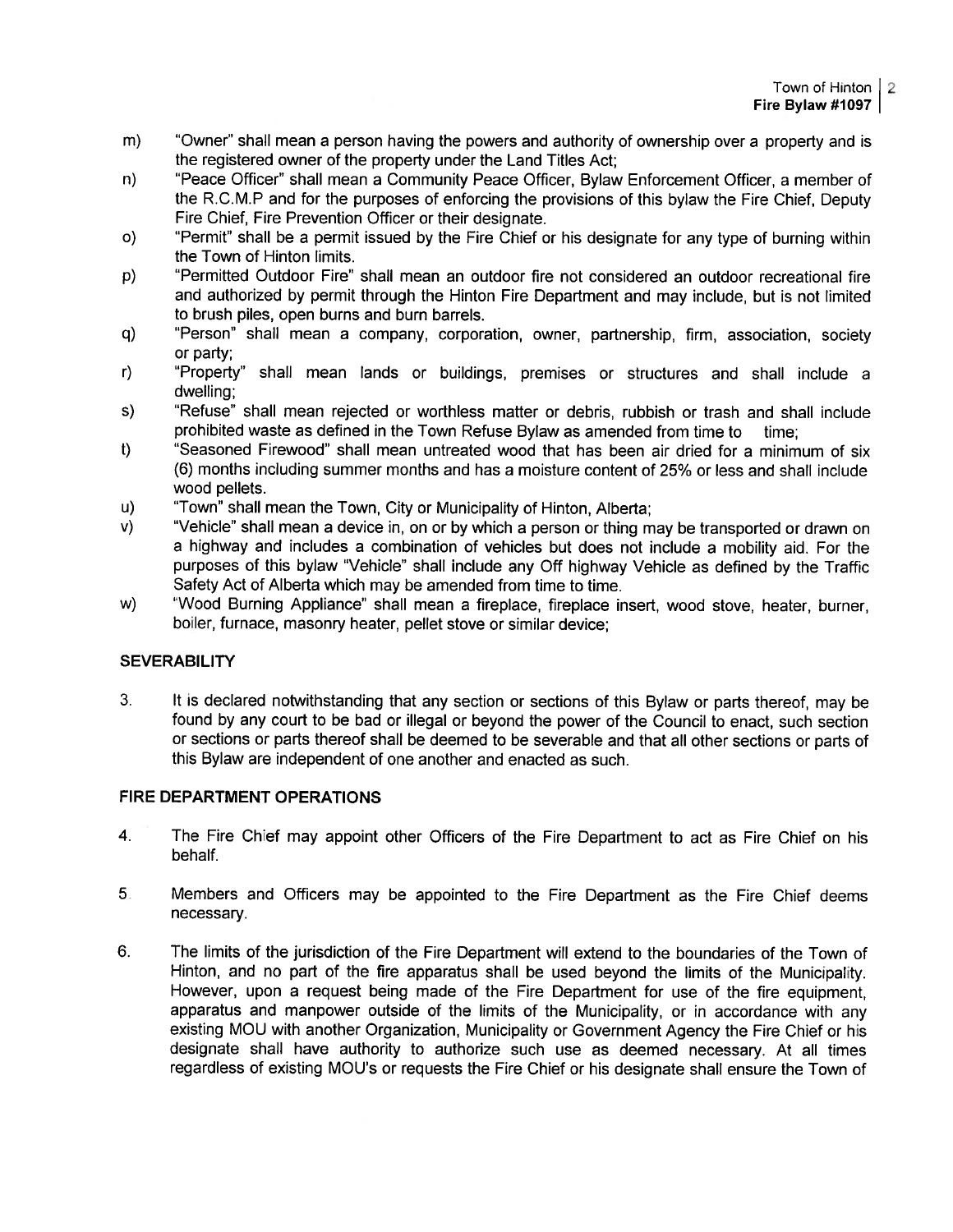- m) "Owner' shall mean <sup>a</sup> person having the powers and authority of ownership over <sup>a</sup> property and is the registered owner of the property under the Land Titles Act;
- n) 'Peace Officer" shall mean <sup>a</sup> Community Peace Officer, Bylaw Enforcement Officer, <sup>a</sup> member of the R.C.M.P and for the purposes of enforcing the provisions of this bylaw the Fire Chief, Deputy Fire Chief, Fire Prevention Officer or their designate.
- o) "Permit" shall be <sup>a</sup> permit issued by the Fire Chief or his designate for any type of burning within the Town of Hinton limits.
- p) "Permitted Outdoor Fire" shall mean an outdoor fire not considered an outdoor recreational fire and authorized by permit through the Hinton Fire Department and may include, but is not limited to brush piles, open burns and burn barrels.
- q) "Person" shall mean <sup>a</sup> company, corporation, owner, partnership, firm, association, society or party;
- r) "Property" shall mean lands or buildings, premises or structures and shall include <sup>a</sup> dwelling:
- s) "Refuse" shall mean rejected or worthless matter or debris, rubbish or trash and shall include prohibited waste as defined in the Town Refuse Bylaw as amended from time to time:
- t) "Seasoned Firewood" shall mean untreated wood that has been air dried for <sup>a</sup> minimum of six (6) months including summer months and has <sup>a</sup> moisture content of 25% or less and shall include wood pellets.
- u) "Town" shall mean the Town, City or Municipality of Hinton, Alberta;
- v) "Vehicle" shall mean <sup>a</sup> device in, on or by which <sup>a</sup> person or thing may be transported or drawn on <sup>a</sup> highway and includes <sup>a</sup> combination of vehicles but does not include <sup>a</sup> mobility aid. For the purposes of this bylaw "Vehicle" shall include any Off highway Vehicle as defined by the Traffic Safety Act of Alberta which may be amended from time to time.
- w) "Wood Burning Appliance" shall mean a fireplace, fireplace insert, wood stove, heater, burner, boiler, furnace, masonry heater, pellet stove or similar device;

# **SEVERABILITY**

3. It is declared notwithstanding that any section or sections of this Bylaw or parts thereof, may be found by any court to be bad or illegal or beyond the power of the Council to enact, such section or sections or parts thereof shall be deemed to be severable and that all other sections or parts of this Bylaw are independent of one another and enacted as such.

## FIRE DEPARTMENT OPERATIONS

- 4. The Fire Chief may appoint other Officers of the Fire Department to act as Fire Chief on his behalf.
- <sup>5</sup> Members and Officers may be appointed to the Fire Department as the Fire Chief deems necessary.
- 6. The limits of the jurisdiction of the Fire Department will extend to the boundaries of the Town of Hinton, and no par<sup>t</sup> of the fire apparatus shall be used beyond the limits of the Municipality. However, upon <sup>a</sup> reques<sup>t</sup> being made of the Fire Department for use of the fire equipment, apparatus and manpower outside of the limits of the Municipality, or in accordance with any existing MOU with another Organization, Municipality or Government Agency the Fire Chief or his designate shall have authority to authorize such use as deemed necessary. At all times regardless of existing MOU's or requests the Fire Chief or his designate shall ensure the Town of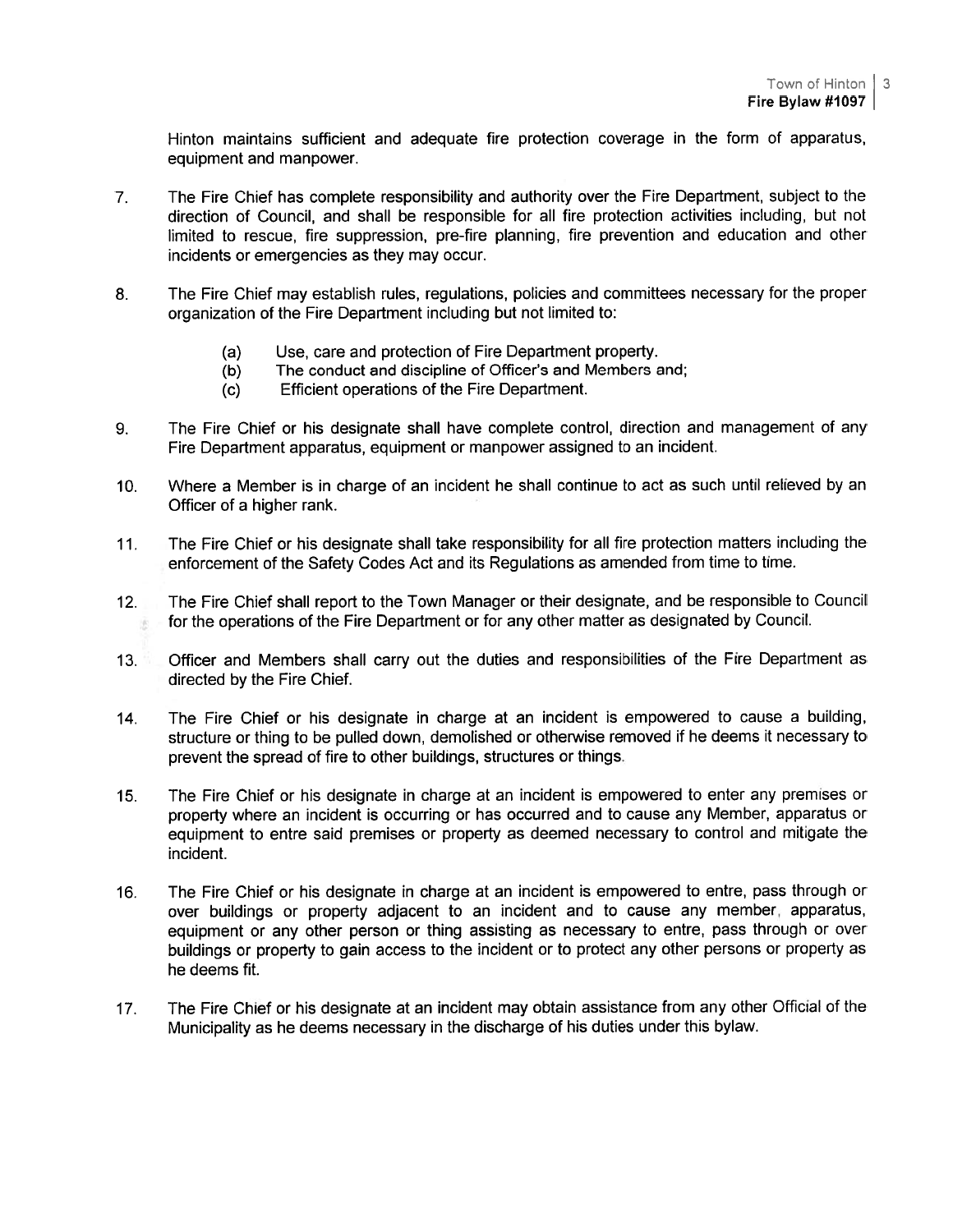Hinton maintains sufficient and adequate fire protection coverage in the form of apparatus, equipment and manpower.

- 7. The Fire Chief has complete responsibility and authority over the Fire Department, subject to the direction of Council, and shall be responsible for all fire protection activities including. hut not limited to rescue, fire suppression, pre-fire planning, fire prevention and education and other incidents or emergencies as they may occur.
- 6. The Fire Chief may establish rules, regulations, policies and committees necessary for the proper organization of the Fire Department including but not limited to:
	- (a) Use, care and protection of Fire Department property.
	- (b) The conduct and discipline of Officer's and Members and;
	- (c) Efficient operations of the Fire Department.
- 9. The Fire Chief or his designate shall have complete control, direction and managemen<sup>t</sup> of any Fire Department apparatus, equipment or manpower assigned to an incident.
- 10. Where <sup>a</sup> Member is in charge of an incident he shall continue to act as such until relieved by an Officer of <sup>a</sup> higher rank.
- 11. The Fire Chief or his designate shall take responsibility for all fire protection matters including the enforcement of the Safety Codes Act and its Regulations as amended from time to time.
- 12. The Fire Chief shall repor<sup>t</sup> to the Town Manager or their designate, and be responsible to Council for the operations of the Fire Department or for any other matter as designated by Council.
- 13. Officer and Members shall carry out the duties and responsibilities of the Fire Department as directed by the Fire Chief.
- <sup>14</sup> The Fire Chief or his designate in charge at an incident is empowere<sup>d</sup> to cause <sup>a</sup> building, structure or thing to be pulled down, demolished or otherwise removed if he deems it necessary to preven<sup>t</sup> the spread of fire to other buildings, structures or things.
- 15. The Fire Chief or his designate in charge at an incident is empowere<sup>d</sup> to enter any premises or property where an incident is occurring or has occurred and to cause any Member, apparatus or equipment to entre said premises or property as deemed necessary to control and mitigate the incident.
- 16. The Fire Chief or his designate in charge at an incident is empowere<sup>d</sup> to entre, pass through or over buildings or property adjacent to an incident and to cause any member, apparatus, equipment or any other person or thing assisting as necessary to entre, pass through or over buildings or property to gain access to the incident or to protect any other persons or property as he deems fit.
- 17. The Fire Chief or his designate at an incident may obtain assistance from any other Official of the Municipality as he deems necessary in the discharge of his duties under this bylaw.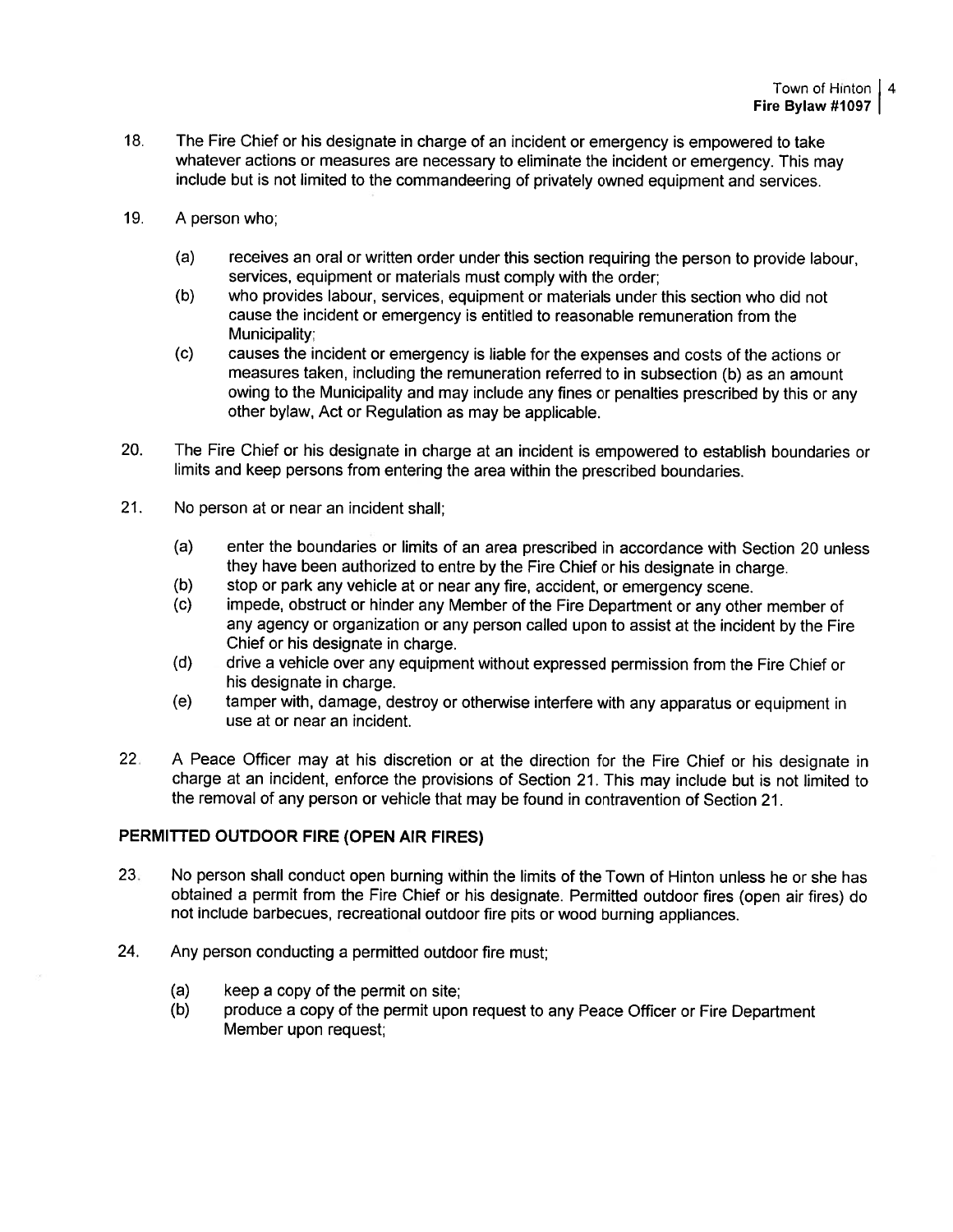- 18. The Fire Chief or his designate in charge of an incident or emergency is empowered to take whatever actions or measures are necessary to eliminate the incident or emergency. This may include but is not limited to the commandeering of privately owned equipment and services.
- 19. A person who;
	- (a) receives an oral or written order under this section requiring the person to provide labour, services, equipment or materials must comply with the order;
	- (b) who provides labour, services, equipment or materials under this section who did not cause the incident or emergency is entitled to reasonable remuneration from the Municipality:
	- (c) causes the incident or emergency is liable for the expenses and costs of the actions or measures taken, including the remuneration referred to in subsection (b) as an amount owing to the Municipality and may include any fines or penalties prescribed by this or any other bylaw, Act or Regulation as may be applicable.
- 20. The Fire Chief or his designate in charge at an incident is empowere<sup>d</sup> to establish boundaries or limits and keep persons from entering the area within the prescribed boundaries.
- 21. No person at or near an incident shall;
	- (a) enter the boundaries or limits of an area prescribed in accordance with Section 20 unless they have been authorized to entre by the Fire Chief or his designate in charge.
	- (b) stop or par<sup>k</sup> any vehicle at or near any fire, accident, or emergency scene.
	- (c) impede, obstruct or hinder any Member of the Fire Department or any other member of any agency or organization or any person called upon to assist at the incident by the Fire Chief or his designate in charge.
	- (d) drive <sup>a</sup> vehicle over any equipment without expresse<sup>d</sup> permission from the Fire Chief or his designate in charge.
	- (e) tamper with, damage, destroy or otherwise interfere with any apparatus or equipment in use at or near an incident.
- 22. <sup>A</sup> Peace Officer may at his discretion or at the direction for the Fire Chief or his designate in charge at an incident, enforce the provisions of Section 21. This may include but is not limited to the removal of any person or vehicle that may be found in contravention of Section 21.

## PERMITTED OUTDOOR FIRE (OPEN AIR FIRES)

- 23. No person shall conduct open burning within the limits of the Town of Hinton unless he or she has obtained <sup>a</sup> permit from the Fire Chief or his designate. Permitted outdoor fires (open air fires) do not include barbecues, recreational outdoor fire <sup>p</sup>its or wood burning appliances.
- 24. Any person conducting <sup>a</sup> permitted outdoor fire must;
	- (a) keep <sup>a</sup> copy of the permit on site;
	- (b) produce <sup>a</sup> copy of the permit upon reques<sup>t</sup> to any Peace Officer or Fire Department Member upon request;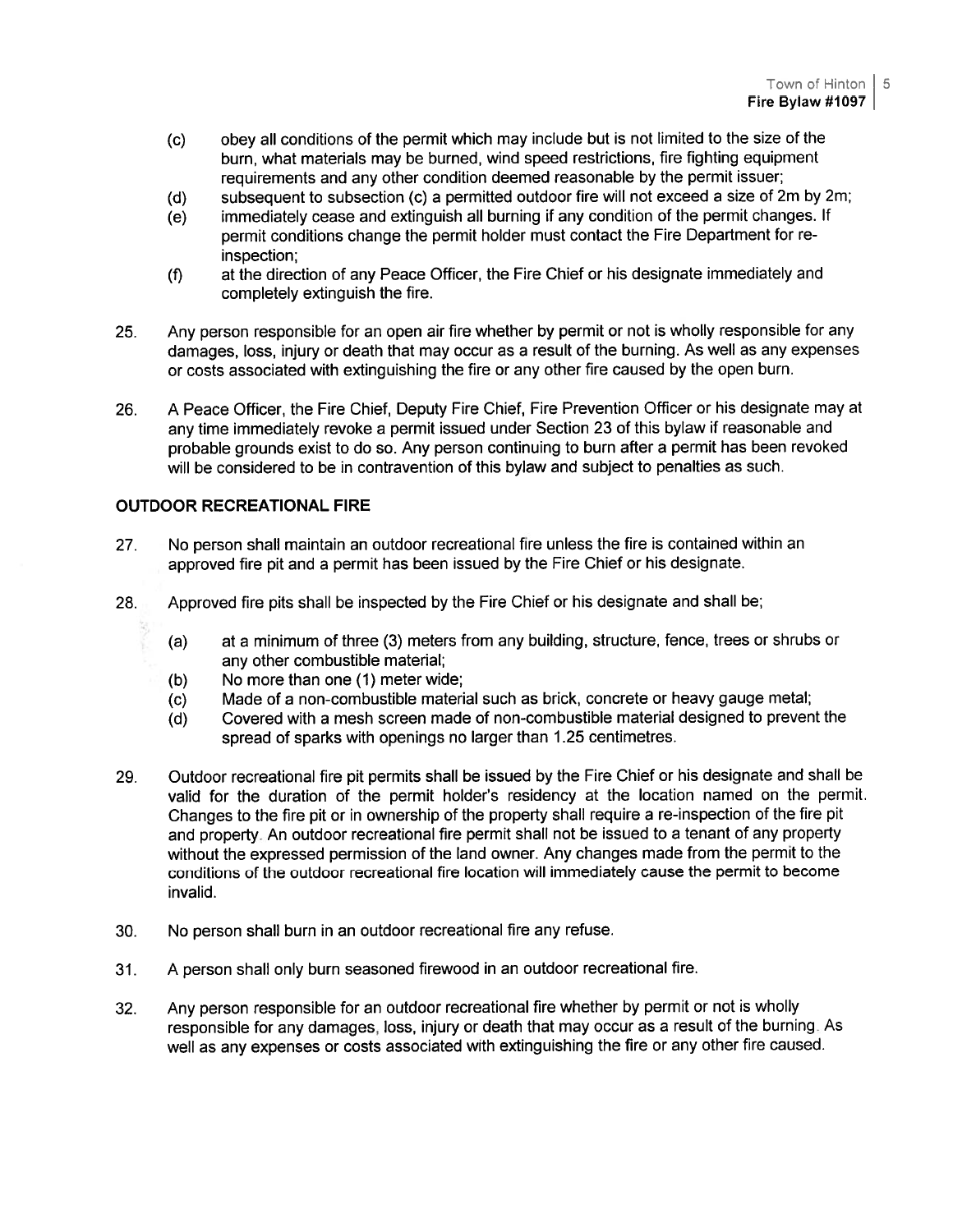- (c) obey all conditions of the permit which may include but is not limited to the size of the burn, what materials may be burned, wind speed restrictions, fire fighting equipment requirements and any other condition deemed reasonable by the permit issuer;
- (d) subsequent to subsection (c) <sup>a</sup> permitted outdoor fire will not exceed <sup>a</sup> size of 2m by 2m;
- (e) immediately cease and extinguish all burning if any condition of the permit changes. If permit conditions change the permit holder must contact the Fire Department for re inspection;
- (f) at the direction of any Peace Officer, the Fire Chief or his designate immediately and completely extinguish the fire.
- 25. Any person responsible for an open air fire whether by permit or not is wholly responsible for any damages, loss, injury or death that may occur as <sup>a</sup> result of the burning. As well as any expenses or costs associated with extinguishing the fire or any other fire caused by the open burn.
- 26. <sup>A</sup> Peace Officer, the Fire Chief, Deputy Fire Chief, Fire Prevention Officer or his designate may at any time immediately revoke <sup>a</sup> permit issued under Section <sup>23</sup> of this bylaw if reasonable and probable grounds exist to do so. Any person continuing to burn after <sup>a</sup> permit has been revoked will be considered to be in contravention of this bylaw and subject to penalties as such.

# OUTDOOR RECREATIONAL FIRE

- 27. No person shall maintain an outdoor recreational fire unless the fire is contained within an approved fire <sup>p</sup>it and <sup>a</sup> permit has been issued by the Fire Chief or his designate.
- 28. Approved fire <sup>p</sup>its shall be inspected by the Fire Chief or his designate and shall be;
	- (a) at <sup>a</sup> minimum of three (3) meters from any building, structure, fence, trees or shrubs or any other combustible material;
	- (b) No more than one (1) meter wide;
	- (c) Made of <sup>a</sup> non-combustible material such as brick, concrete or heavy gauge metal;
	- (d) Covered with <sup>a</sup> mesh screen made of non-combustible material designed to preven<sup>t</sup> the spread of sparks with openings no larger than <sup>1</sup> .25 centimetres.
- 29. Outdoor recreational fire <sup>p</sup>it permits shall be issued by the Fire Chief or his designate and shall be valid for the duration of the permit holder's residency at the location named on the permit. Changes to the fire <sup>p</sup>it or in ownership of the property shall require <sup>a</sup> re-inspection of the fire <sup>p</sup>it and property. An outdoor recreational fire permit shall not be issued to <sup>a</sup> tenant of any property without the expresse<sup>d</sup> permission of the land owner. Any changes made from the permit to the conditions of the outdoor recreational fire location will immediately cause the permit to become invalid.
- 30. No person shall burn in an outdoor recreational fire any refuse.
- 31. <sup>A</sup> person shall only burn seasoned firewood in an outdoor recreational fire.
- 32. Any person responsible for an outdoor recreational fire whether by permit or not is wholly responsible for any damages, loss, injury or death that may occur as <sup>a</sup> result of the burning. As well as any expenses or costs associated with extinguishing the fire or any other fire caused.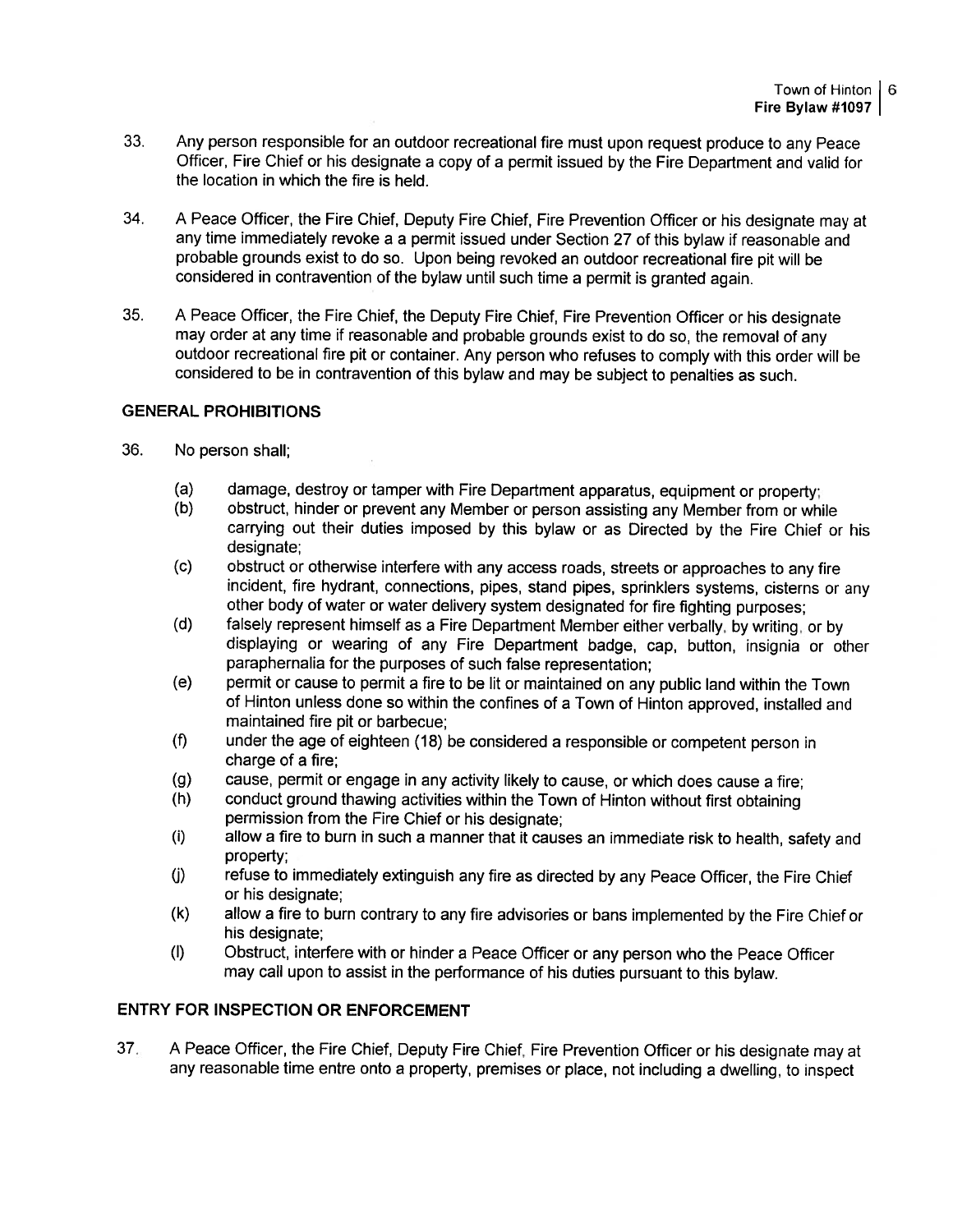- 33. Any person responsible for an outdoor recreational fire must upon reques<sup>t</sup> produce to any Peace Officer, Fire Chief or his designate a copy of a permit issued by the Fire Department and valid for the location in which the fire is held.
- 34. <sup>A</sup> Peace Officer, the Fire Chief, Deputy Fire Chief, Fire Prevention Officer or his designate may at any time immediately revoke <sup>a</sup> <sup>a</sup> permit issued under Section <sup>27</sup> of this bylaw if reasonable and probable grounds exist to do so. Upon being revoked an outdoor recreational fire <sup>p</sup>it will be considered in contravention of the bylaw until such time <sup>a</sup> permit is granted again.
- 35. <sup>A</sup> Peace Officer, the Fire Chief, the Deputy Fire Chief, Fire Prevention Officer or his designate may order at any time if reasonable and probable grounds exist to do so, the removal of any outdoor recreational fire <sup>p</sup>it or container. Any person who refuses to comply with this order will be considered to be in contravention of this bylaw and may be subject to penalties as such.

## GENERAL PROHIBITIONS

- 36. No person shall;
	- (a) damage, destroy or tamper with Fire Department apparatus, equipment or property;<br>(b) obstruct, hinder or prevent any Member or person assisting any Member from or white
	- obstruct, hinder or prevent any Member or person assisting any Member from or while carrying out their duties imposed by this bylaw or as Directed by the Fire Chief or his designate;
	- (c) obstruct or otherwise interfere with any access roads, streets or approaches to any fire incident, fire hydrant, connections, <sup>p</sup>ipes, stand <sup>p</sup>ipes, sprinklers systems, cisterns or any other body of water or water delivery system designated for fire fighting purposes;
	- (d) falsely represen<sup>t</sup> himself as <sup>a</sup> Fire Department Member either verbally, by writing, or by displaying or wearing of any Fire Department badge, cap, button, insignia or other paraphernalia for the purposes of such false representation;
	- fe) permit or cause to permit <sup>a</sup> fire to be lit or maintained on any public land within the Town of Hinton unless done so within the confines of <sup>a</sup> Town of Hinton approved, installed and maintained fire pit or barbecue;
	- (f) under the age of eighteen (18) be considered <sup>a</sup> responsible or competent person in charge of <sup>a</sup> fire;
	- (g) cause, permit or engage in any activity likely to cause, or which does cause <sup>a</sup> fire;
	- (h) conduct groun<sup>d</sup> thawing activities within the Town of Hinton without first obtaining permission from the Fire Chief or his designate;
	- (i) allow <sup>a</sup> fire to burn in such <sup>a</sup> manner that it causes an immediate risk to health, safety and property;
	- (j) refuse to immediately extinguish any fire as directed by any Peace Officer, the Fire Chief or his designate;
	- (k) allow <sup>a</sup> fire to burn contrary to any fire advisories or bans implemented by the Fire Chief or his designate;
	- (I) Obstruct, interfere with or hinder <sup>a</sup> Peace Officer or any person who the Peace Officer may call upon to assist in the performance of his duties pursuan<sup>t</sup> to this bylaw.

## ENTRY FOR INSPECTION OR ENFORCEMENT

37. <sup>A</sup> Peace Officer, the Fire Chief, Deputy Fire Chief, Fire Prevention Officer or his designate may at any reasonable time entre onto <sup>a</sup> property, premises or <sup>p</sup>lace, not including <sup>a</sup> dwelling, to inspect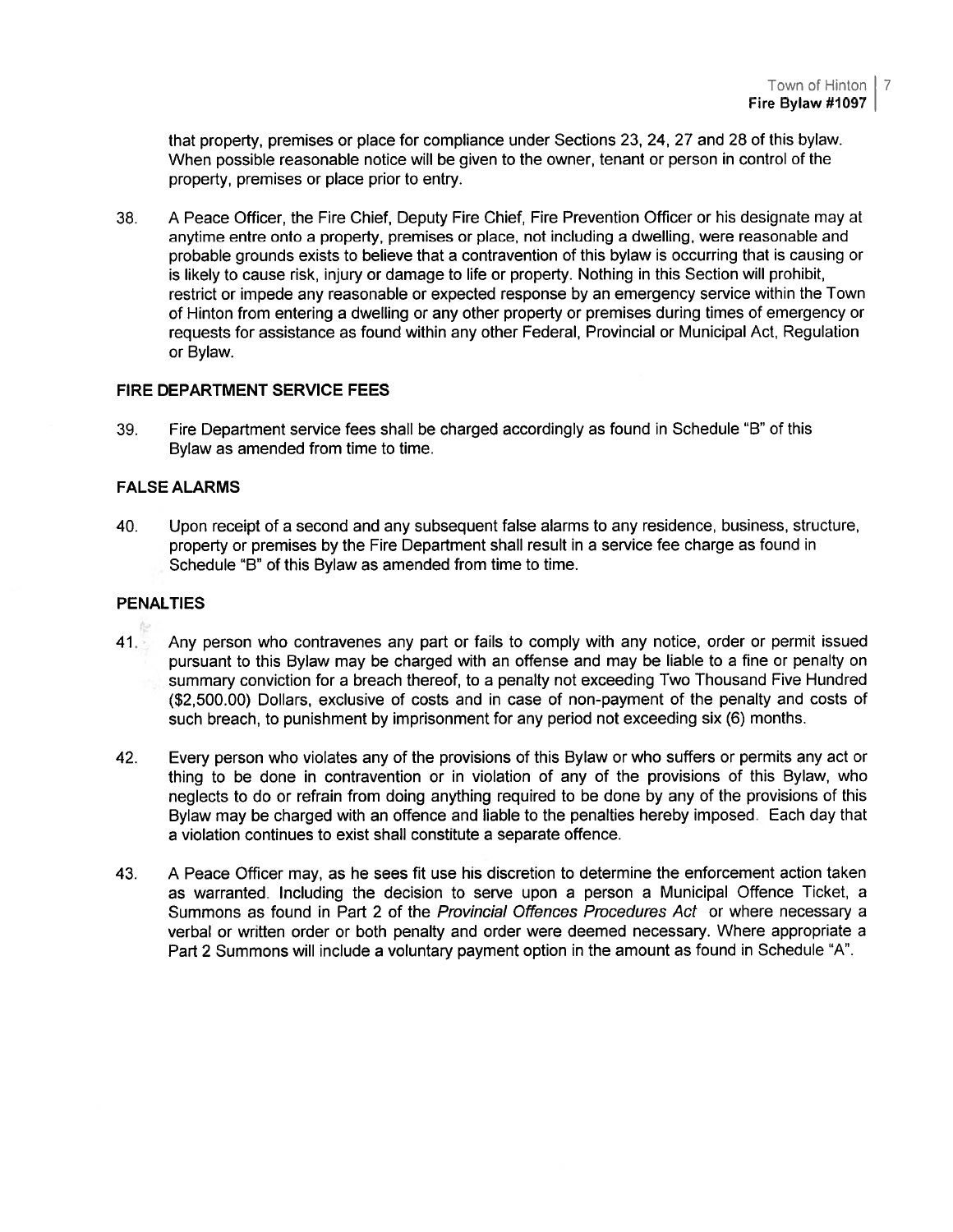that property, premises or place for compliance under Sections 23, 24, 27 and 28 of this bylaw. When possible reasonable notice will be given to the owner, tenant or person in control of the property, premises or place prior to entry.

38. A Peace Officer, the Fire Chief, Deputy Fire Chief, Fire Prevention Officer or his designate may at anytime entre onto <sup>a</sup> property, premises or <sup>p</sup>lace, not including <sup>a</sup> dwelling, were reasonable and probable grounds exists to believe that <sup>a</sup> contravention of this bylaw is occurring that is causing or is likely to cause risk, injury or damage to life or property. Nothing in this Section will prohibit, restrict or impede any reasonable or expected response by an emergency service within the Town of Hinton from entering <sup>a</sup> dwelling or any other property or premises during times of emergency or requests for assistance as found within any other Federal, Provincial or Municipal Act, Regulation or Bylaw.

#### FIRE DEPARTMENT SERVICE FEES

39. Fire Department service fees shall be charged accordingly as found in Schedule "B" of this Bylaw as amended from time to time.

#### FALSE ALARMS

40. Upon receipt of <sup>a</sup> second and any subsequent false alarms to any residence, business, structure, property or premises by the Fire Department shall result in <sup>a</sup> service fee charge as found in Schedule "B" of this Bylaw as amended from time to time.

# PENALTIES

- 41. Any person who contravenes any par<sup>t</sup> or fails to comply with any notice, order or permit issued pursuan<sup>t</sup> to this Bylaw may be charged with an offense and may be liable to <sup>a</sup> fine or penalty on summary conviction for <sup>a</sup> breach thereof, to <sup>a</sup> penalty not exceeding Two Thousand Five Hundred (\$2,500.00) Dollars, exclusive of costs and in case of non-paymen<sup>t</sup> of the penalty and costs of such breach, to punishment by imprisonment for any period not exceeding six (6) months.
- 42. Every person who violates any of the provisions of this Bylaw or who suffers or permits any act or thing to be done in contravention or in violation of any of the provisions of this Bylaw, who neglects to do or refrain from doing anything required to be done by any of the provisions of this Bylaw may be charged with an offence and liable to the penalties hereby imposed. Each day that <sup>a</sup> violation continues to exist shall constitute <sup>a</sup> separate offence.
- 43. <sup>A</sup> Peace Officer may, as he sees fit use his discretion to determine the enforcement action taken as warranted. Including the decision to serve upon <sup>a</sup> person <sup>a</sup> Municipal Offence Ticket, <sup>a</sup> Summons as found in Part 2 of the Provincial Offences Procedures Act or where necessary a verbal or written order or both penalty and order were deemed necessary. Where appropriate <sup>a</sup> Part 2 Summons will include <sup>a</sup> voluntary paymen<sup>t</sup> option in the amount as found in Schedule "A".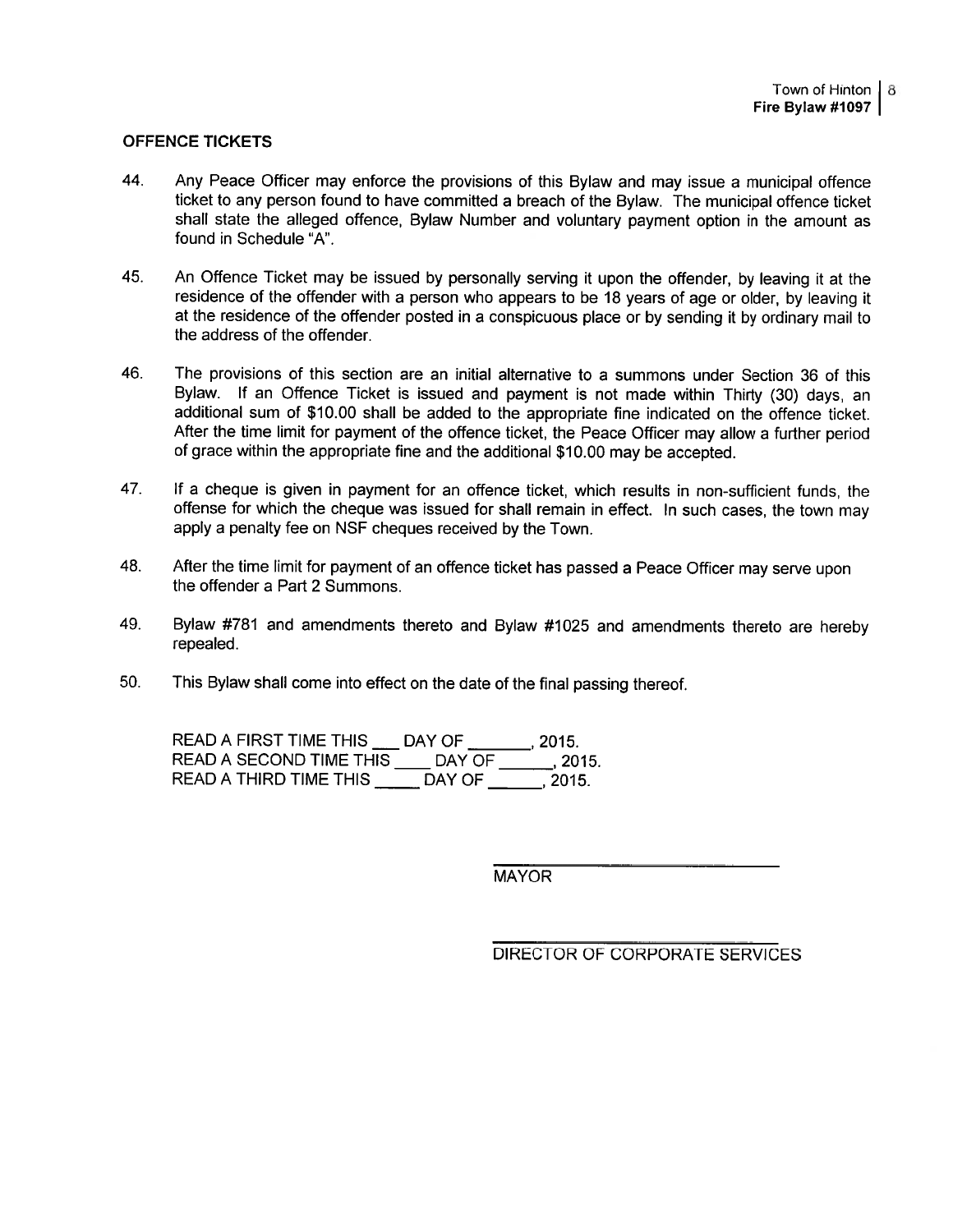#### OFFENCE TICKETS

- 44. Any Peace Officer may enforce the provisions of this Bylaw and may issue <sup>a</sup> municipal offence ticket to any person found to have committed <sup>a</sup> breach of the Bylaw. The municipal offence ticket shall state the alleged offence, Bylaw Number and voluntary paymen<sup>t</sup> option in the amount as found in Schedule "A".
- 45. An Offence Ticket may be issued by personally serving it upon the offender, by leaving it at the residence of the offender with <sup>a</sup> person who appears to be <sup>18</sup> years of age or older, by leaving it at the residence of the offender posted in <sup>a</sup> conspicuous <sup>p</sup>lace or by sending it by ordinary mail to the address of the offender.
- 46. The provisions of this section are an initial alternative to <sup>a</sup> summons under Section 36 of this Bylaw. If an Offence Ticket is issued and paymen<sup>t</sup> is not made within Thirty (30) days, an additional sum of \$10.00 shall be added to the appropriate fine indicated on the offence ticket. After the time limit for paymen<sup>t</sup> of the offence ticket, the Peace Officer may allow <sup>a</sup> further period of grace within the appropriate fine and the additional \$10.00 may be accepted. ICE TICKETS<br>Any Peace Officer may enforce the provisions of this Bylaticket to any person found to have committed a breach of the all state to alleged offence, Bylaw Number and volunt found in Schedule "A".<br>An Offence Tick ICE TICKETS<br>Any Peace Officer may enforce the provisions of this By<br>ticket to any person found to have committed a breach of<br>shall state the alleged offence, Bylaw Number and volu-<br>found in Schedue "A".<br>An Officnce Ticket
- 47. If <sup>a</sup> cheque is <sup>g</sup>iven in paymen<sup>t</sup> for an offence ticket, which results in non-sufficient funds, the offense for which the cheque was issued for shall remain in effect. In such cases, the town may apply <sup>a</sup> penalty fee on NSF cheques received by the Town.
- 48. After the time limit for paymen<sup>t</sup> of an offence ticket has passe<sup>d</sup> <sup>a</sup> Peace Officer may serve upon the offender <sup>a</sup> Part 2 Summons.
- 49. Bylaw #781 and amendments thereto and Bylaw #1025 and amendments thereto are hereby repealed.
- 50. This Bylaw shall come into effect on the date of the final passing thereof.

READ A FIRST TIME THIS DAY OF 2015.

MAYOR

DIRECTOR OF CORPORATE SERVICES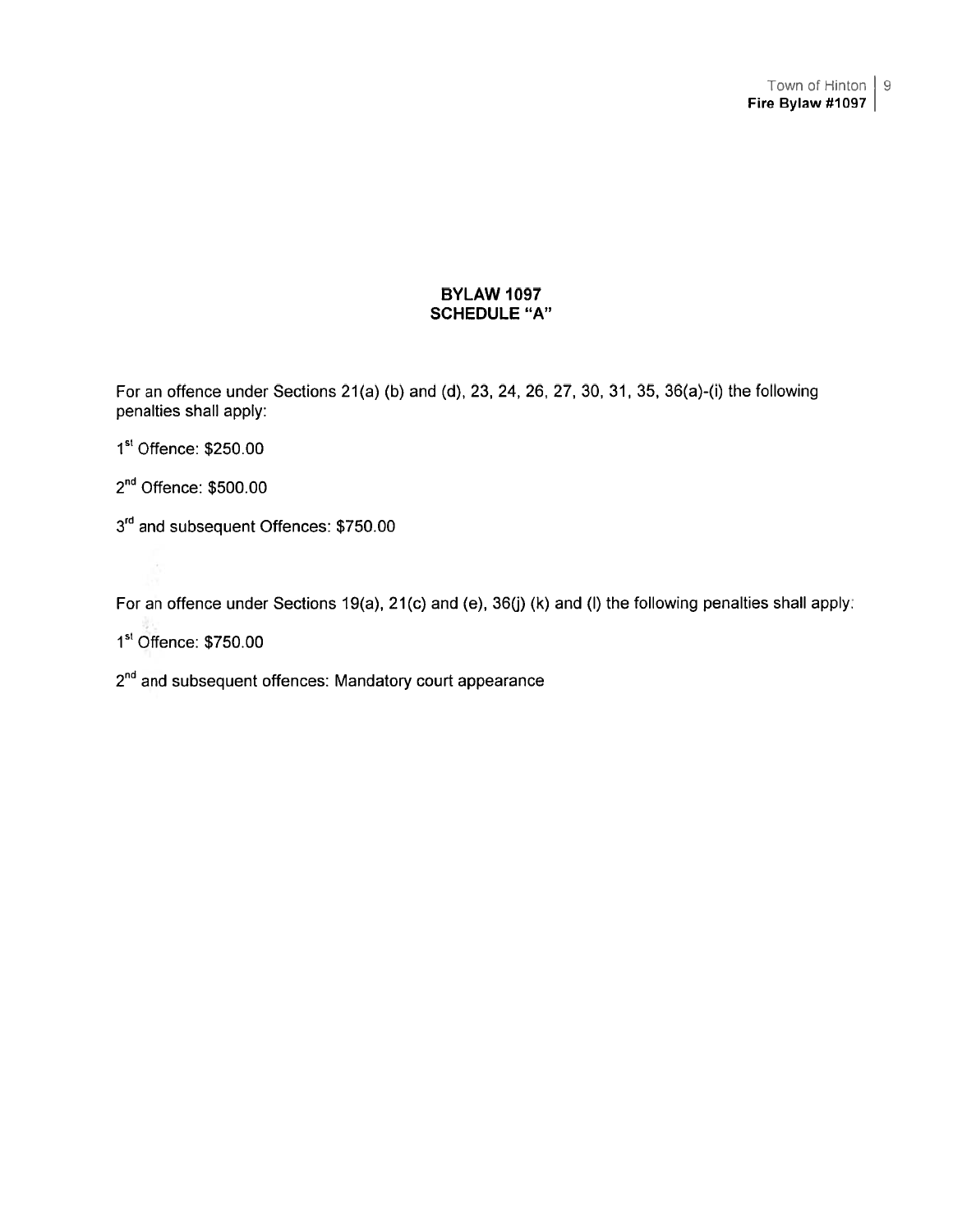## BYLAW 1097 SCHEDULE "A"

For an offence under Sections 21(a) (b) and (d), 23, 24, 26, 27, 30, 31, 35, 36(a)-(i) the following penalties shall apply:

1st Offence: \$250.00

2<sup>nd</sup> Offence: \$500.00

3<sup>rd</sup> and subsequent Offences: \$750.00

For an offence under Sections 19(a), 21(c) and (e), 36(j) (k) and (I) the following penalties shall apply:

1st Offence: \$750.00

 $2<sup>nd</sup>$  and subsequent offences: Mandatory court appearance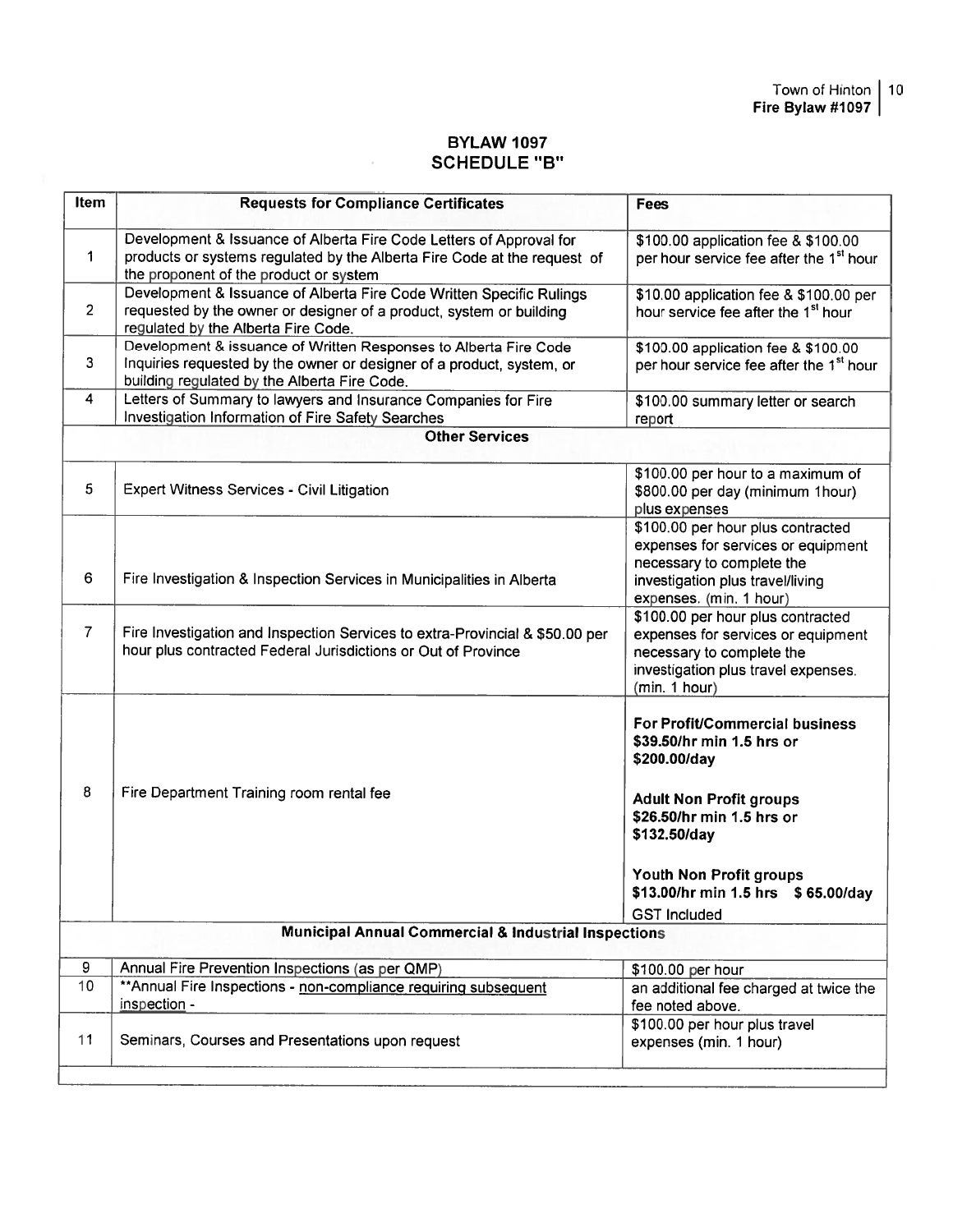# BYLAW 1097 SCHEDULE "B"

 $\mathcal{A}$ 

| <b>Item</b>           | <b>Requests for Compliance Certificates</b>                                                                                                                                               | <b>Fees</b>                                                                                                                                                                                                                                               |  |
|-----------------------|-------------------------------------------------------------------------------------------------------------------------------------------------------------------------------------------|-----------------------------------------------------------------------------------------------------------------------------------------------------------------------------------------------------------------------------------------------------------|--|
| 1                     | Development & Issuance of Alberta Fire Code Letters of Approval for<br>products or systems regulated by the Alberta Fire Code at the request of<br>the proponent of the product or system | \$100.00 application fee & \$100.00<br>per hour service fee after the 1 <sup>st</sup> hour                                                                                                                                                                |  |
| $\overline{2}$        | Development & Issuance of Alberta Fire Code Written Specific Rulings<br>requested by the owner or designer of a product, system or building<br>regulated by the Alberta Fire Code.        | \$10.00 application fee & \$100.00 per<br>hour service fee after the 1 <sup>st</sup> hour                                                                                                                                                                 |  |
| 3                     | Development & issuance of Written Responses to Alberta Fire Code<br>Inquiries requested by the owner or designer of a product, system, or<br>building regulated by the Alberta Fire Code. | \$100.00 application fee & \$100.00<br>per hour service fee after the 1 <sup>st</sup> hour                                                                                                                                                                |  |
| 4                     | Letters of Summary to lawyers and Insurance Companies for Fire<br>Investigation Information of Fire Safety Searches                                                                       | \$100.00 summary letter or search<br>report                                                                                                                                                                                                               |  |
| <b>Other Services</b> |                                                                                                                                                                                           |                                                                                                                                                                                                                                                           |  |
| 5                     | <b>Expert Witness Services - Civil Litigation</b>                                                                                                                                         | \$100.00 per hour to a maximum of<br>\$800.00 per day (minimum 1hour)<br>plus expenses                                                                                                                                                                    |  |
| 6                     | Fire Investigation & Inspection Services in Municipalities in Alberta                                                                                                                     | \$100.00 per hour plus contracted<br>expenses for services or equipment<br>necessary to complete the<br>investigation plus travel/living<br>expenses. (min. 1 hour)                                                                                       |  |
| $\overline{7}$        | Fire Investigation and Inspection Services to extra-Provincial & \$50.00 per<br>hour plus contracted Federal Jurisdictions or Out of Province                                             | \$100.00 per hour plus contracted<br>expenses for services or equipment<br>necessary to complete the<br>investigation plus travel expenses.<br>(min. 1 hour)                                                                                              |  |
| 8                     | Fire Department Training room rental fee                                                                                                                                                  | <b>For Profit/Commercial business</b><br>\$39.50/hr min 1.5 hrs or<br>\$200.00/day<br><b>Adult Non Profit groups</b><br>\$26.50/hr min 1.5 hrs or<br>\$132.50/day<br>Youth Non Profit groups<br>\$13.00/hr min 1.5 hrs \$65.00/day<br><b>GST Included</b> |  |
|                       | <b>Municipal Annual Commercial &amp; Industrial Inspections</b>                                                                                                                           |                                                                                                                                                                                                                                                           |  |
| 9                     | Annual Fire Prevention Inspections (as per QMP)                                                                                                                                           | \$100.00 per hour                                                                                                                                                                                                                                         |  |
| 10                    | ** Annual Fire Inspections - non-compliance requiring subsequent<br>inspection -                                                                                                          | an additional fee charged at twice the<br>fee noted above.                                                                                                                                                                                                |  |
| 11                    | Seminars, Courses and Presentations upon request                                                                                                                                          | \$100.00 per hour plus travel<br>expenses (min. 1 hour)                                                                                                                                                                                                   |  |
|                       |                                                                                                                                                                                           |                                                                                                                                                                                                                                                           |  |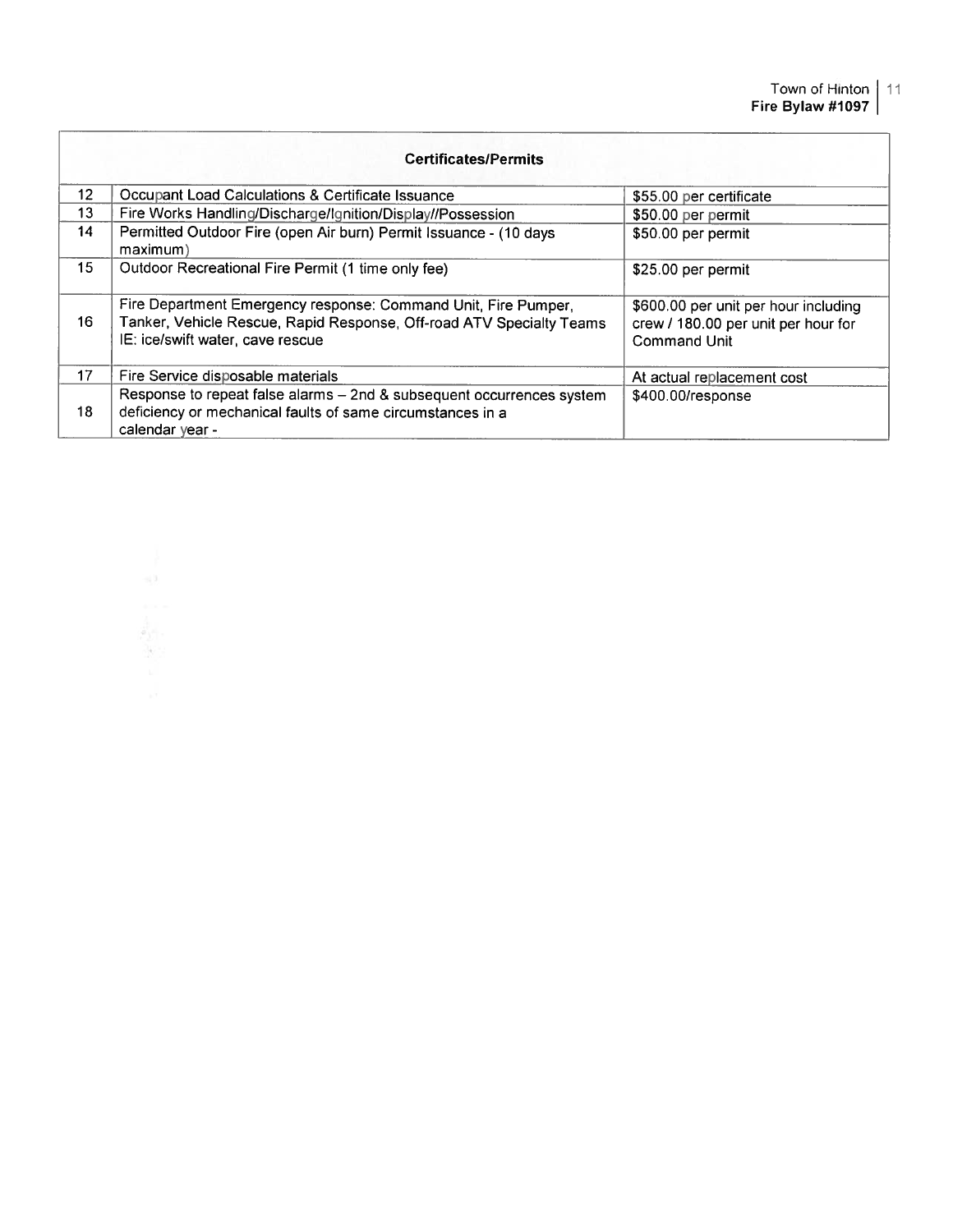| <b>Certificates/Permits</b> |                                                                                                                                                                            |                                                                                                    |  |
|-----------------------------|----------------------------------------------------------------------------------------------------------------------------------------------------------------------------|----------------------------------------------------------------------------------------------------|--|
| 12 <sup>2</sup>             | Occupant Load Calculations & Certificate Issuance                                                                                                                          | \$55.00 per certificate                                                                            |  |
| 13                          | Fire Works Handling/Discharge/Ignition/Display//Possession                                                                                                                 | \$50.00 per permit                                                                                 |  |
| 14                          | Permitted Outdoor Fire (open Air burn) Permit Issuance - (10 days<br>maximum)                                                                                              | \$50.00 per permit                                                                                 |  |
| 15 <sup>1</sup>             | Outdoor Recreational Fire Permit (1 time only fee)                                                                                                                         | \$25.00 per permit                                                                                 |  |
| 16                          | Fire Department Emergency response: Command Unit, Fire Pumper,<br>Tanker, Vehicle Rescue, Rapid Response, Off-road ATV Specialty Teams<br>IE: ice/swift water, cave rescue | \$600.00 per unit per hour including<br>crew / 180.00 per unit per hour for<br><b>Command Unit</b> |  |
| 17                          | Fire Service disposable materials                                                                                                                                          | At actual replacement cost                                                                         |  |
| 18                          | Response to repeat false alarms - 2nd & subsequent occurrences system<br>deficiency or mechanical faults of same circumstances in a<br>calendar year -                     | \$400.00/response                                                                                  |  |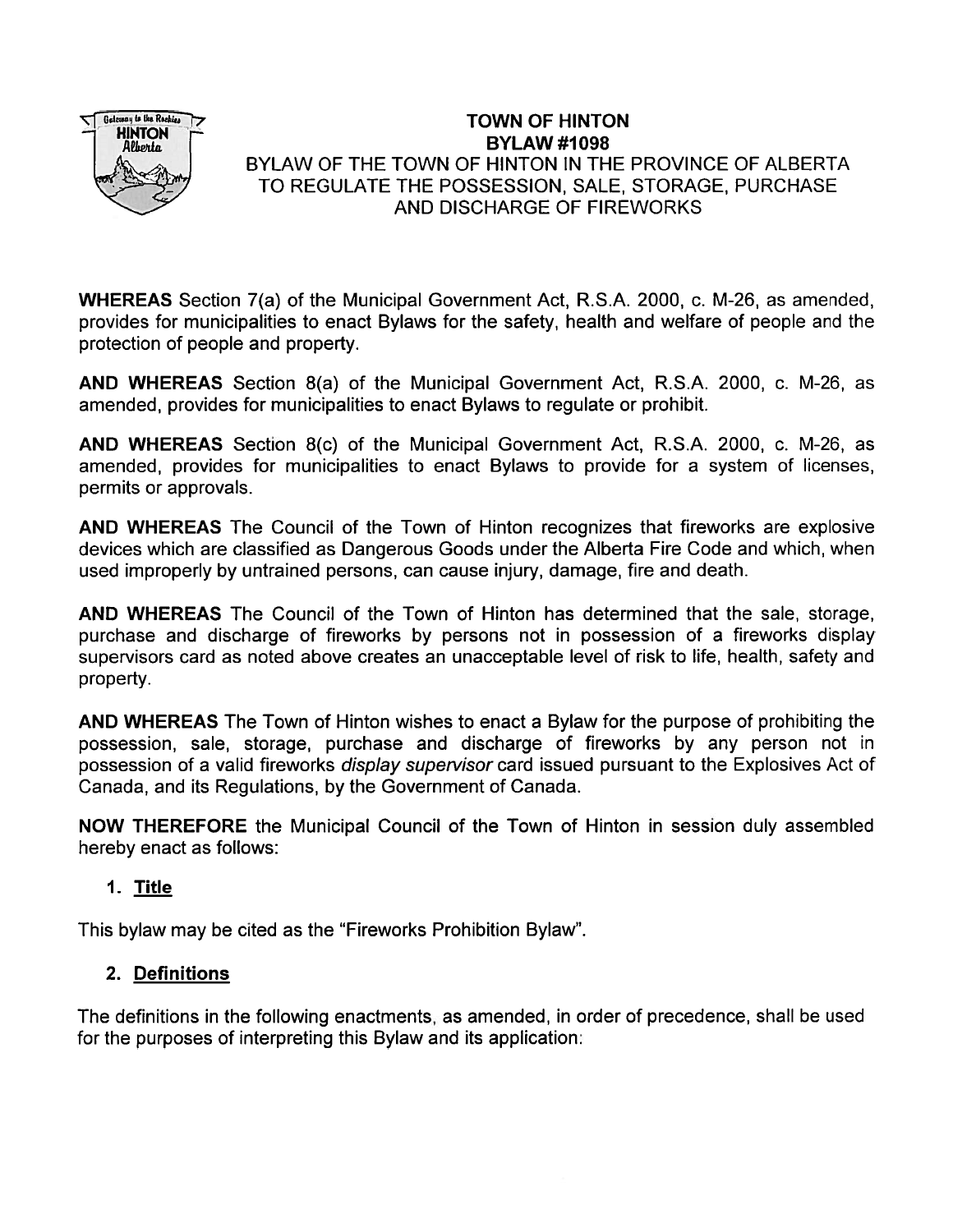

# TOWN OF HINTON  $HINTON$   $BYLAW #1098$ BYLAW OF THE TOWN OF HINTON IN THE PROVINCE OF ALBERTA TO REGULATE THE POSSESSION, SALE, STORAGE, PURCHASE AND DISCHARGE OF FIREWORKS

WHEREAS Section 7(a) of the Municipal Government Act, R.S.A. 2000, c. M-26, as amended, provides for municipalities to enact Bylaws for the safety, health and welfare of people and the protection of people and property.

AND WHEREAS Section 8(a) of the Municipal Government Act, R.S.A. 2000, c. M-26, as amended, provides for municipalities to enact Bylaws to regulate or prohibit.

AND WHEREAS Section 8(c) of the Municipal Government Act, R.S.A. 2000, c. M-26, as amended, provides for municipalities to enact Bylaws to provide for <sup>a</sup> system of licenses, permits or approvals.

AND WHEREAS The Council of the Town of Hinton recognizes that fireworks are explosive devices which are classified as Dangerous Goods under the Alberta Fire Code and which, when used improperly by untrained persons, can cause injury, damage, fire and death.

AND WHEREAS The Council of the Town of Hinton has determined that the sale, storage, purchase and discharge of fireworks by persons not in possession of <sup>a</sup> fireworks display supervisors card as noted above creates an unacceptable level of risk to life, health, safety and property.

AND WHEREAS The Town of Hinton wishes to enact <sup>a</sup> Bylaw for the purpose of prohibiting the possession, sale, storage, purchase and discharge of fireworks by any person not in possession of <sup>a</sup> valid fireworks display supervisor card issued pursuan<sup>t</sup> to the Explosives Act of Canada, and its Regulations, by the Government of Canada.

NOW THEREFORE the Municipal Council of the Town of Hinton in session duly assembled hereby enact as follows:

# 1. Title

This bylaw may be cited as the "Fireworks Prohibition Bylaw".

# 2. Definitions

The definitions in the following enactments, as amended, in order of precedence, shall be used for the purposes of interpreting this Bylaw and its application: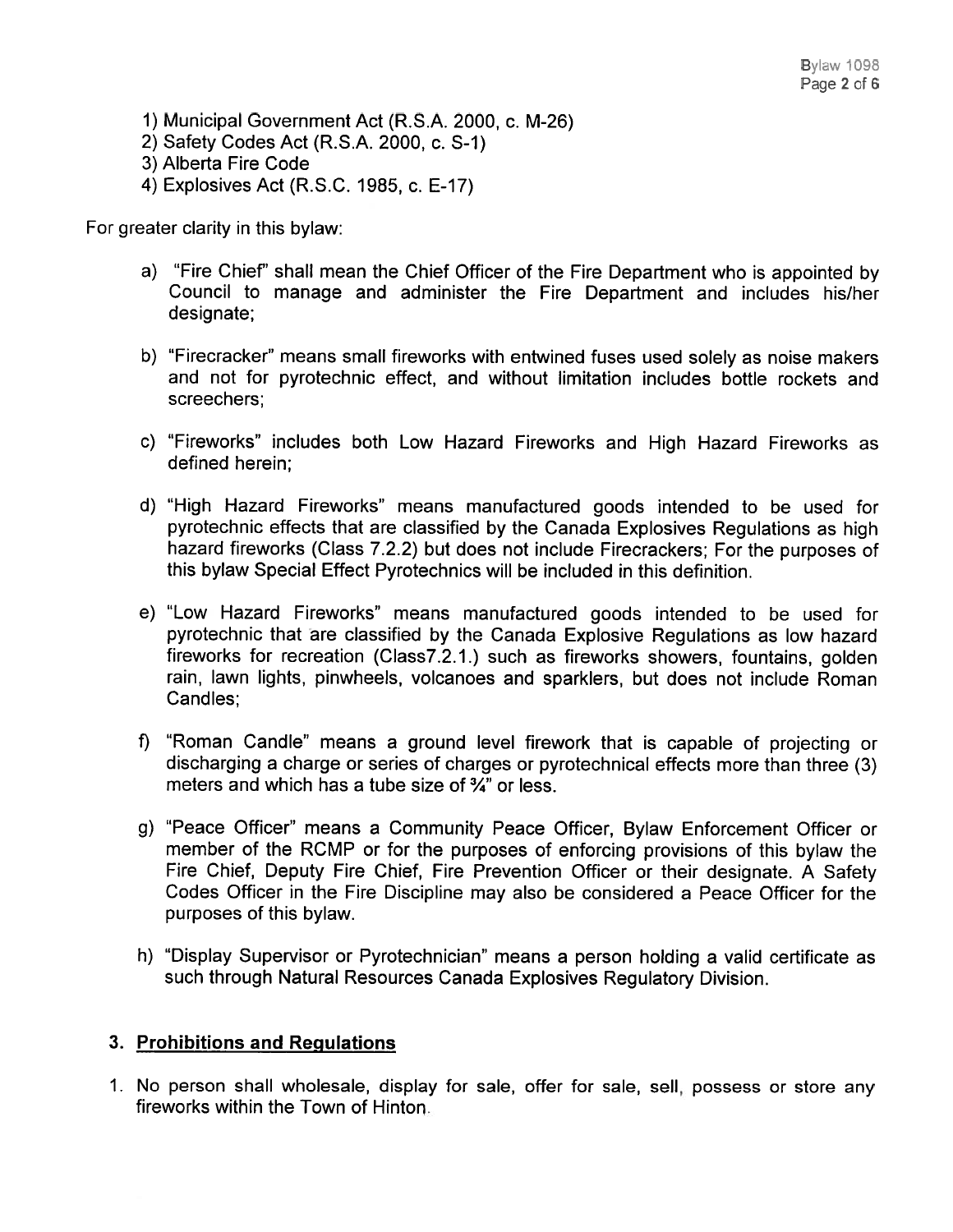1) Municipal Government Act (R.S.A. 2000, c. M-26) 2) Safety Codes Act (R.S.A. 2000, c. S-i) 3) Alberta Fire Code 4) Explosives Act (R.S.C. 1985, c. E-17)

For greater clarity in this bylaw:

- a) "Fire Chief" shall mean the Chief Officer of the Fire Department who is appointed by Council to manage and administer the Fire Department and includes his/her designate;
- b) "Firecracker" means small fireworks with entwined fuses used solely as noise makers and not for pyrotechnic effect, and without limitation includes bottle rockets and screechers;
- c) "Fireworks" includes both Low Hazard Fireworks and High Hazard Fireworks as defined herein;
- d) "High Hazard Fireworks" means manufactured goods intended to be used for pyrotechnic effects that are classified by the Canada Explosives Regulations as high hazard fireworks (Class 7.2.2) but does not include Firecrackers; For the purposes of this bylaw Special Effect Pyrotechnics will be included in this definition.
- e) "Low Hazard Fireworks" means manufactured goods intended to be used for pyrotechnic that are classified by the Canada Explosive Regulations as low hazard fireworks for recreation (Class7.2.1.) such as fireworks showers, fountains, golden rain, lawn lights, <sup>p</sup>inwheels, volcanoes and sparklers, but does not include Roman Candles;
- f) "Roman Candle" means <sup>a</sup> groun<sup>d</sup> level firework that is capable of projecting or discharging <sup>a</sup> charge or series of charges or pyrotechnical effects more than three (3) meters and which has a tube size of  $\frac{3}{4}$ " or less.
- g) "Peace Officer" means <sup>a</sup> Community Peace Officer, Bylaw Enforcement Officer or member of the RCMP or for the purposes of enforcing provisions of this bylaw the Fire Chief, Deputy Fire Chief, Fire Prevention Officer or their designate. <sup>A</sup> Safety Codes Officer in the Fire Discipline may also be considered <sup>a</sup> Peace Officer for the purposes of this bylaw.
- h) "Display Supervisor or Pyrotechnician" means <sup>a</sup> person holding <sup>a</sup> valid certificate as such through Natural Resources Canada Explosives Regulatory Division.

# 3. Prohibitions and Regulations

1. No person shall wholesale, display for sale, offer for sale, sell, possess or store any fireworks within the Town of Hinton.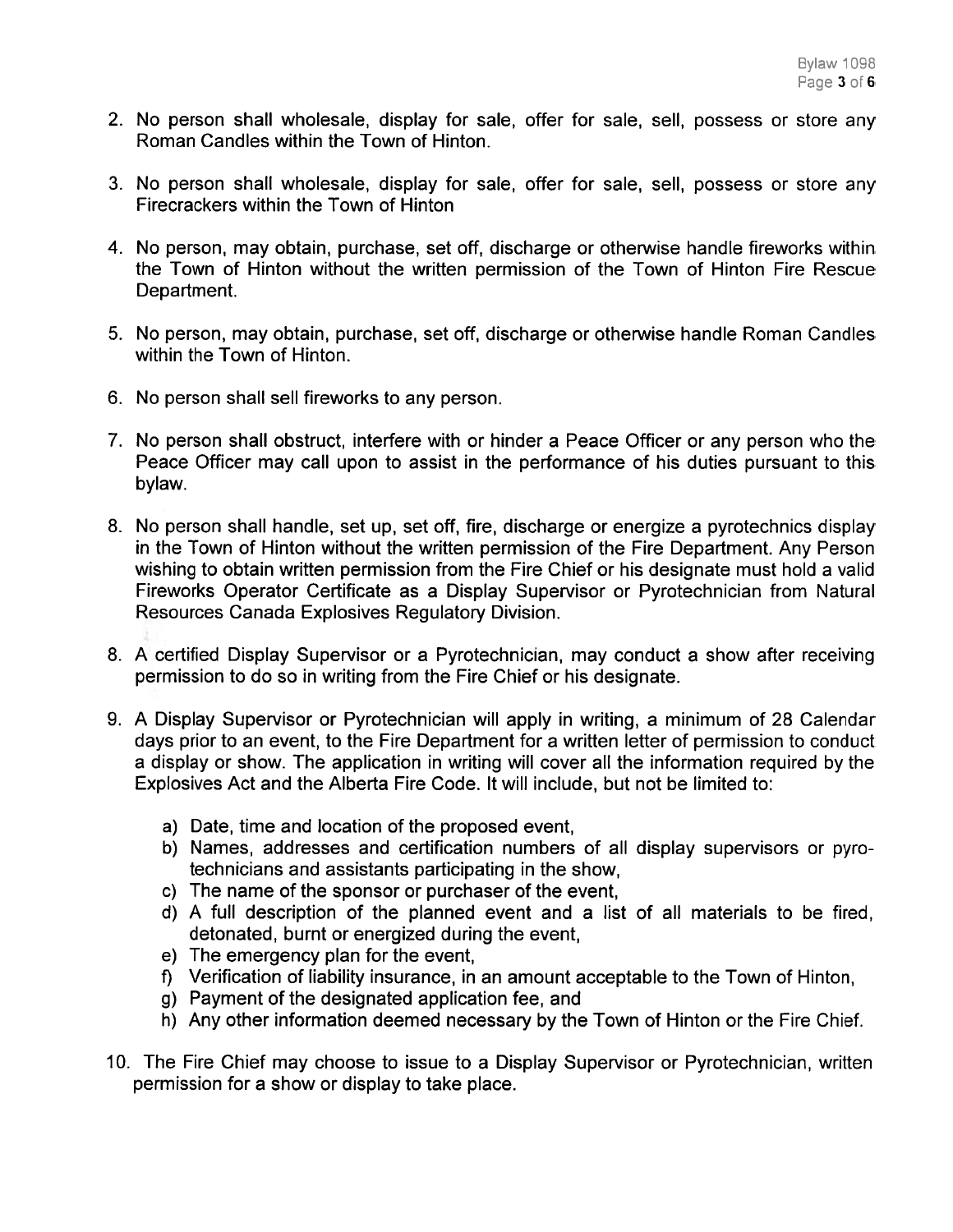- 2. No person shall wholesale, display for sale, offer for sale, sell, possess or store any Roman Candles within the Town of Hinton.
- 3. No person shall wholesale, display for sale, offer for sale, sell, possess or store any Firecrackers within the Town of Hinton
- 4. No person, may obtain, purchase, set off, discharge or otherwise handle fireworks within the Town of Hinton without the written permission of the Town of Hinton Fire Rescue Department.
- 5. No person, may obtain, purchase, set off, discharge or otherwise handle Roman Candles within the Town of Hinton.
- 6. No person shall sell fireworks to any person.
- 7. No person shall obstruct, interfere with or hinder <sup>a</sup> Peace Officer or any person who the Peace Officer may call upon to assist in the performance of his duties pursuan<sup>t</sup> to this bylaw.
- 8. No person shall handle, set up, set off, fire, discharge or energize <sup>a</sup> pyrotechnics display in the Town of Hinton without the written permission of the Fire Department. Any Person wishing to obtain written permission from the Fire Chief or his designate must hold <sup>a</sup> valid Fireworks Operator Certificate as <sup>a</sup> Display Supervisor or Pyrotechnician from Natural Resources Canada Explosives Regulatory Division.
- 8. A certified Display Supervisor or <sup>a</sup> Pyrotechnician, may conduct <sup>a</sup> show after receiving permission to do so in writing from the Fire Chief or his designate.
- 9. A Display Supervisor or Pyrotechnician will apply in writing, <sup>a</sup> minimum of 28 Calendar days prior to an event, to the Fire Department for <sup>a</sup> written letter of permission to conduct <sup>a</sup> display or show. The application in writing will cover all the information required by the Explosives Act and the Alberta Fire Code. It will include, but not be limited to:
	- a) Date, time and location of the proposed event,
	- b) Names, addresses and certification numbers of all display supervisors or pyro technicians and assistants participating in the show,
	- c) The name of the sponsor or purchaser of the event,
	- d) A full description of the planned event and <sup>a</sup> list of all materials to be fired, detonated, burnt or energized during the event,
	- e) The emergency plan for the event,
	- f) Verification of liability insurance, in an amount acceptable to the Town of Hinton,
	- g) Payment of the designated application fee, and
	- h) Any other information deemed necessary by the Town of Hinton or the Fire Chief.
- 10. The Fire Chief may choose to issue to <sup>a</sup> Display Supervisor or Pyrotechnician, written permission for <sup>a</sup> show or display to take place.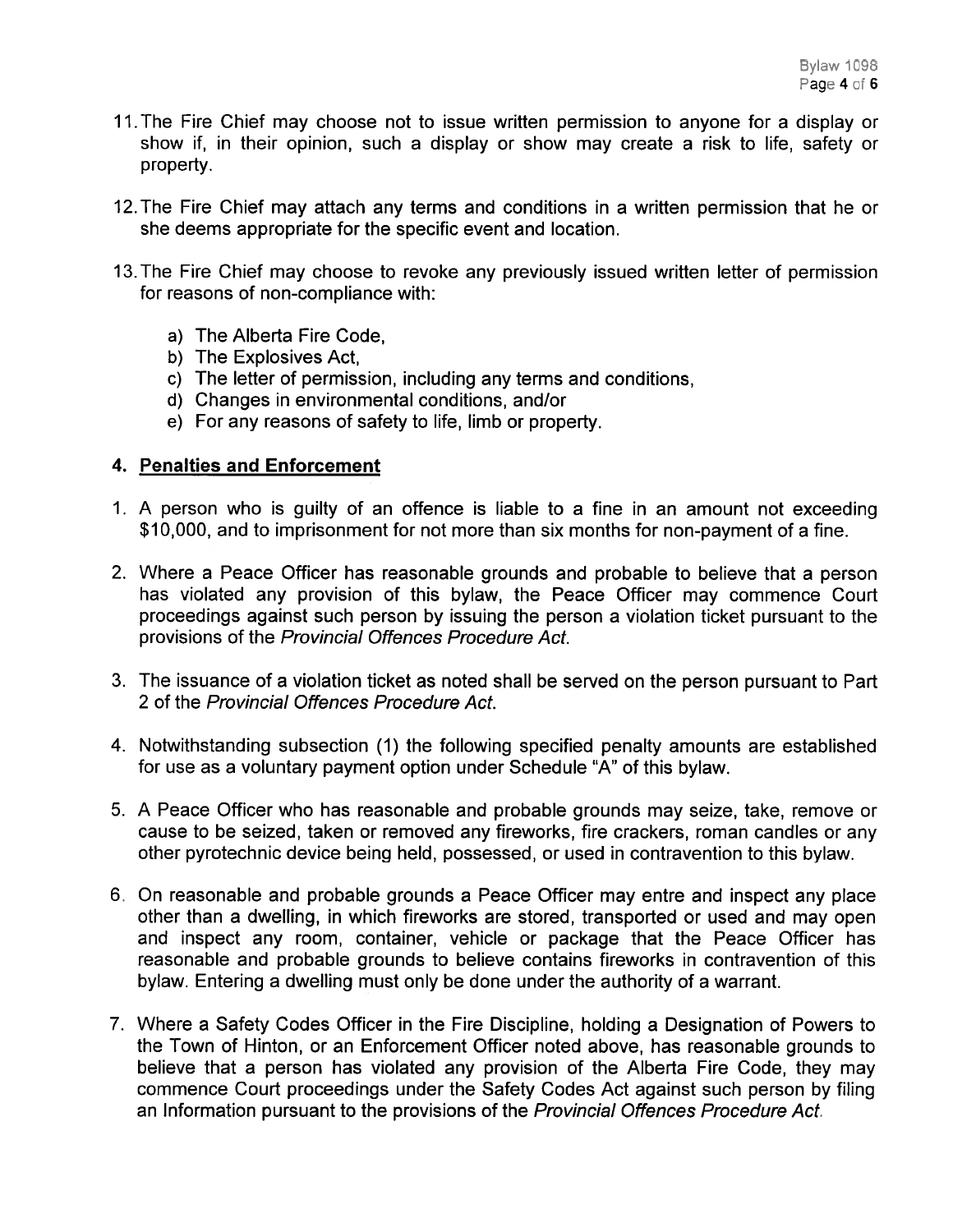- 11. The Fire Chief may choose not to issue written permission to anyone for a display or show if, in their opinion, such <sup>a</sup> display or show may create <sup>a</sup> risk to life, safety or property.
- 12.The Fire Chief may attach any terms and conditions in <sup>a</sup> written permission that he or she deems appropriate for the specific event and location.
- 13.The Fire Chief may choose to revoke any previously issued written letter of permission for reasons of non-compliance with:
	- a) The Alberta Fire Code,
	- b) The Explosives Act,
	- c) The letter of permission, including any terms and conditions,
	- U) Changes in environmental conditions, and/or
	- e) For any reasons of safety to life, limb or property.

# 4. Penalties and Enforcement

- 1. A person who is guilty of an offence is liable to <sup>a</sup> fine in an amount not exceeding \$10,000, and to imprisonment for not more than six months for non-paymen<sup>t</sup> of <sup>a</sup> fine.
- 2. Where <sup>a</sup> Peace Officer has reasonable grounds and probable to believe that <sup>a</sup> person has violated any provision of this bylaw, the Peace Officer may commence Court proceedings against such person by issuing the person <sup>a</sup> violation ticket pursuan<sup>t</sup> to the provisions of the Provincial Offences Procedure Act.
- 3. The issuance of <sup>a</sup> violation ticket as noted shall be served on the person pursuan<sup>t</sup> to Part 2 of the Provincial Offences Procedure Act.
- 4. Notwithstanding subsection (1) the following specified penalty amounts are established for use as <sup>a</sup> voluntary paymen<sup>t</sup> option under Schedule "A" of this bylaw.
- 5. A Peace Officer who has reasonable and probable grounds may seize, take, remove or cause to be seized, taken or removed any fireworks, fire crackers, roman candles or any other pyrotechnic device being held, possessed, or used in contravention to this bylaw.
- 6. On reasonable and probable grounds <sup>a</sup> Peace Officer may entre and inspect any place other than <sup>a</sup> dwelling, in which fireworks are stored, transported or used and may open and inspect any room, container, vehicle or package that the Peace Officer has reasonable and probable grounds to believe contains fireworks in contravention of this bylaw. Entering <sup>a</sup> dwelling must only be done under the authority of <sup>a</sup> warrant.
- 7. Where <sup>a</sup> Safety Codes Officer in the Fire Discipline, holding <sup>a</sup> Designation of Powers to the Town of Hinton, or an Enforcement Officer noted above, has reasonable grounds to believe that <sup>a</sup> person has violated any provision of the Alberta Fire Code, they may commence Court proceedings under the Safety Codes Act against such person by filing an Information pursuan<sup>t</sup> to the provisions of the Provincial Offences Procedure Act.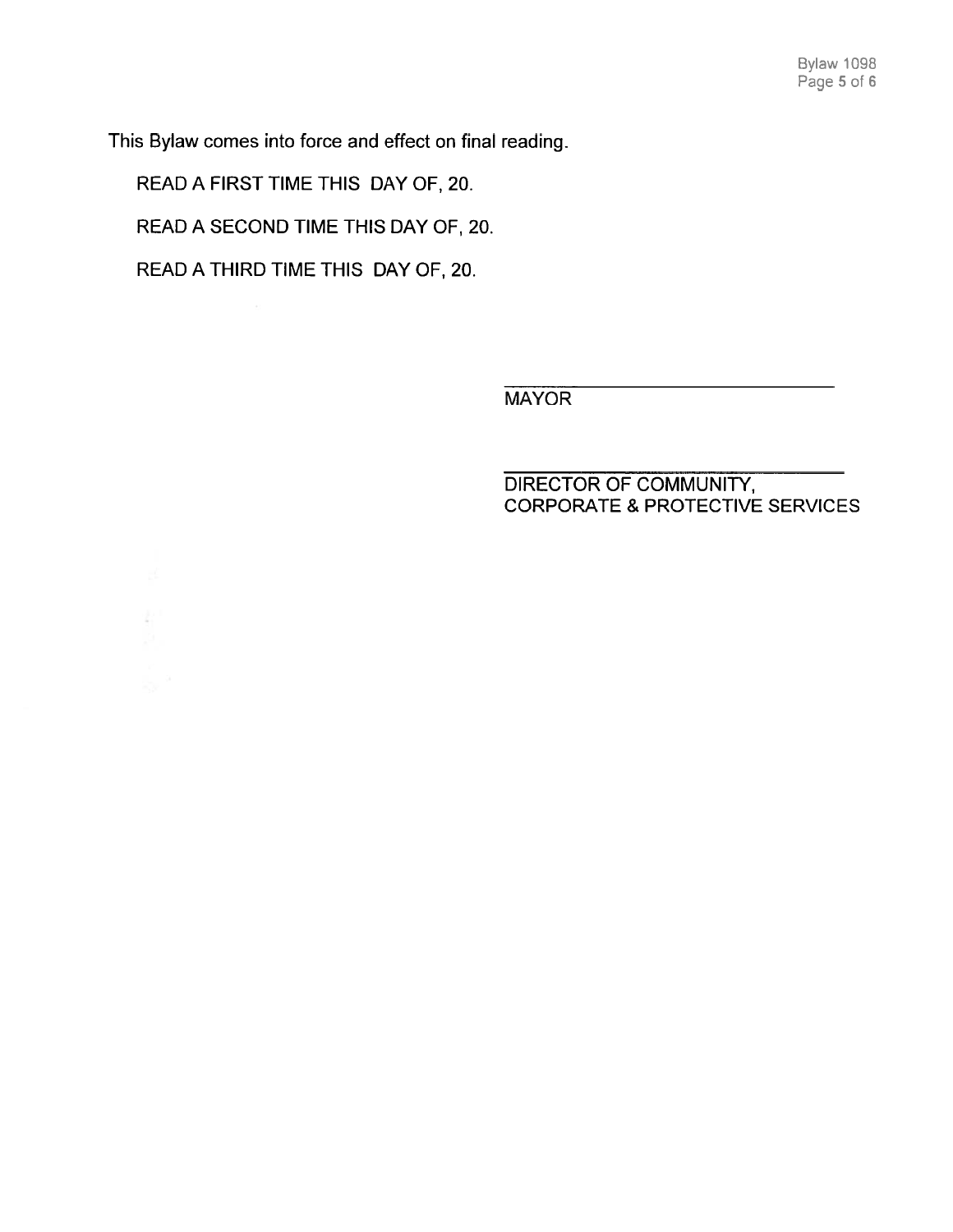This Bylaw comes into force and effect on final reading.

READ A FIRST TIME THIS DAY OF, 20.

READ A SECOND TIME THIS DAY OF, 20.

READ A THIRD TIME THIS DAY OF, 20.

MAYOR

DIRECTOR OF COMMUNITY, CORPORATE & PROTECTIVE SERVICES